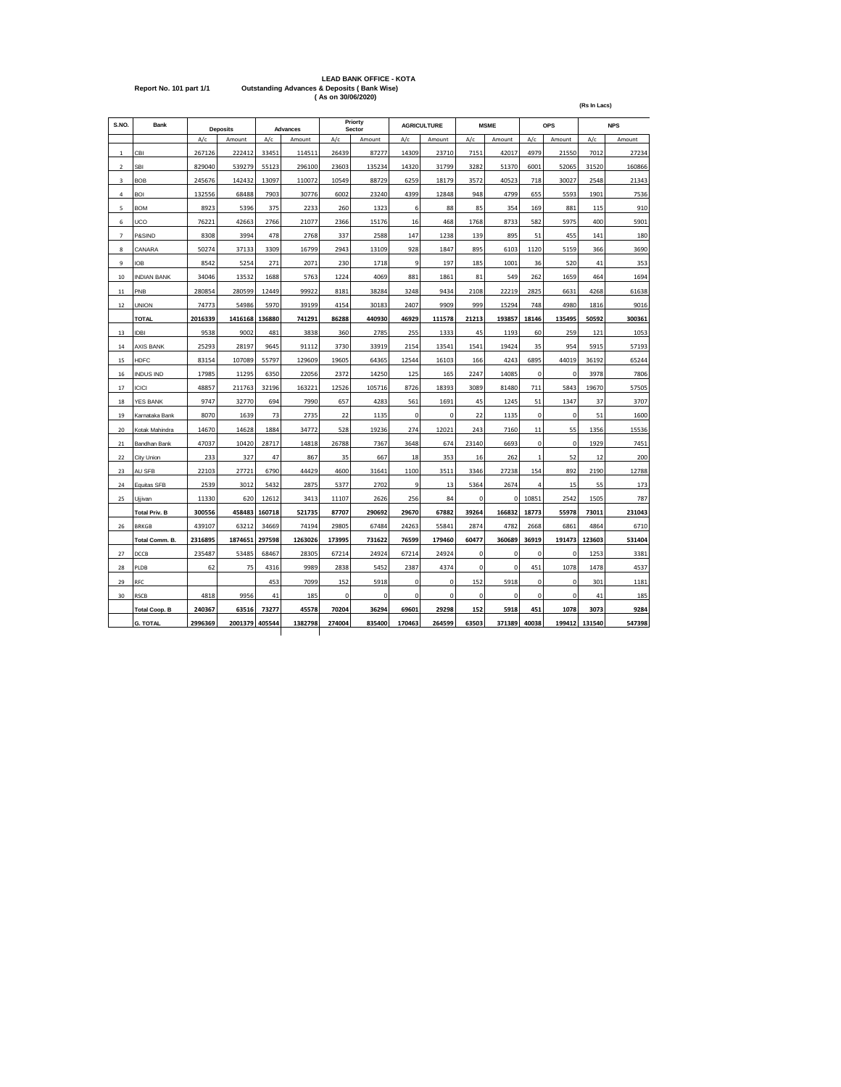|                         | <b>LEAD BANK OFFICE - KOTA</b>                         |
|-------------------------|--------------------------------------------------------|
| Report No. 101 part 1/1 | <b>Outstanding Advances &amp; Deposits (Bank Wise)</b> |
|                         | (As on 30/06/2020)                                     |

| S.NO.          | Bank<br><b>Deposits</b> |         | <b>Advances</b> |        |         | Priorty<br>Sector |        | <b>AGRICULTURE</b> |             | <b>MSME</b> | OPS         |             | <b>NPS</b>  |        |        |
|----------------|-------------------------|---------|-----------------|--------|---------|-------------------|--------|--------------------|-------------|-------------|-------------|-------------|-------------|--------|--------|
|                |                         | A/c     | Amount          | A/c    | Amount  | A/c               | Amount | A/c                | Amount      | A/c         | Amount      | A/c         | Amount      | A/c    | Amount |
| $\mathbf{1}$   | CBI                     | 267126  | 222412          | 33451  | 114511  | 26439             | 87277  | 14309              | 23710       | 7151        | 42017       | 4979        | 21550       | 7012   | 27234  |
| $\overline{2}$ | SBI                     | 829040  | 539279          | 55123  | 296100  | 23603             | 135234 | 14320              | 31799       | 3282        | 51370       | 6001        | 52065       | 31520  | 160866 |
| 3              | <b>BOB</b>              | 245676  | 142432          | 13097  | 110072  | 10549             | 88729  | 6259               | 18179       | 3572        | 40523       | 718         | 30027       | 2548   | 21343  |
| 4              | <b>BOI</b>              | 132556  | 68488           | 7903   | 30776   | 6002              | 23240  | 4399               | 12848       | 948         | 4799        | 655         | 5593        | 1901   | 7536   |
| 5              | <b>BOM</b>              | 8923    | 5396            | 375    | 2233    | 260               | 1323   | 6                  | 88          | 85          | 354         | 169         | 881         | 115    | 910    |
| 6              | UCO                     | 76221   | 42663           | 2766   | 21077   | 2366              | 15176  | 16                 | 468         | 1768        | 8733        | 582         | 5975        | 400    | 5901   |
| $\overline{7}$ | P&SIND                  | 8308    | 3994            | 478    | 2768    | 337               | 2588   | 147                | 1238        | 139         | 895         | 51          | 455         | 141    | 180    |
| 8              | CANARA                  | 50274   | 37133           | 3309   | 16799   | 2943              | 13109  | 928                | 1847        | 895         | 6103        | 1120        | 5159        | 366    | 3690   |
| 9              | <b>IOB</b>              | 8542    | 5254            | 271    | 2071    | 230               | 1718   | 9                  | 197         | 185         | 1001        | 36          | 520         | 41     | 353    |
| 10             | <b>INDIAN BANK</b>      | 34046   | 13532           | 1688   | 5763    | 1224              | 4069   | 881                | 1861        | 81          | 549         | 262         | 1659        | 464    | 1694   |
| 11             | PNB                     | 280854  | 280599          | 12449  | 99922   | 8181              | 38284  | 3248               | 9434        | 2108        | 22219       | 2825        | 6631        | 4268   | 61638  |
| 12             | <b>UNION</b>            | 74773   | 54986           | 5970   | 39199   | 4154              | 30183  | 2407               | 9909        | 999         | 15294       | 748         | 4980        | 1816   | 9016   |
|                | <b>TOTAL</b>            | 2016339 | 1416168         | 136880 | 741291  | 86288             | 440930 | 46929              | 111578      | 21213       | 193857      | 18146       | 135495      | 50592  | 300361 |
| 13             | <b>IDBI</b>             | 9538    | 9002            | 481    | 3838    | 360               | 2785   | 255                | 1333        | 45          | 1193        | 60          | 259         | 121    | 1053   |
| $14\,$         | <b>AXIS BANK</b>        | 25293   | 28197           | 9645   | 91112   | 3730              | 33919  | 2154               | 13541       | 1541        | 19424       | 35          | 954         | 5915   | 57193  |
| 15             | <b>HDFC</b>             | 83154   | 107089          | 55797  | 129609  | 19605             | 64365  | 12544              | 16103       | 166         | 4243        | 6895        | 44019       | 36192  | 65244  |
| 16             | <b>INDUS IND</b>        | 17985   | 11295           | 6350   | 22056   | 2372              | 14250  | 125                | 165         | 2247        | 14085       | $\mathbf 0$ | $\mathbf 0$ | 3978   | 7806   |
| 17             | <b>ICICI</b>            | 48857   | 211763          | 32196  | 163221  | 12526             | 105716 | 8726               | 18393       | 3089        | 81480       | 711         | 5843        | 19670  | 57505  |
| 18             | <b>YES BANK</b>         | 9747    | 32770           | 694    | 7990    | 657               | 4283   | 561                | 1691        | 45          | 1245        | 51          | 1347        | 37     | 3707   |
| 19             | Karnataka Bank          | 8070    | 1639            | 73     | 2735    | 22                | 1135   | 0                  | 0           | 22          | 1135        | $\pmb{0}$   | $\mathbf 0$ | 51     | 1600   |
| 20             | Kotak Mahindra          | 14670   | 14628           | 1884   | 34772   | 528               | 19236  | 274                | 12021       | 243         | 7160        | 11          | 55          | 1356   | 15536  |
| 21             | Bandhan Bank            | 47037   | 10420           | 28717  | 14818   | 26788             | 7367   | 3648               | 674         | 23140       | 6693        | $\mathbf 0$ | $\mathbf 0$ | 1929   | 7451   |
| 22             | City Union              | 233     | 327             | 47     | 867     | 35                | 667    | 18                 | 353         | 16          | 262         | $\mathbf 1$ | 52          | 12     | 200    |
| 23             | AU SFB                  | 22103   | 27721           | 6790   | 44429   | 4600              | 31641  | 1100               | 3511        | 3346        | 27238       | 154         | 892         | 2190   | 12788  |
| 24             | Equitas SFB             | 2539    | 3012            | 5432   | 2875    | 5377              | 2702   | 9                  | 13          | 5364        | 2674        | 4           | 15          | 55     | 173    |
| 25             | Ujjivan                 | 11330   | 620             | 12612  | 3413    | 11107             | 2626   | 256                | 84          | $\mathbf 0$ | $\mathbf 0$ | 10851       | 2542        | 1505   | 787    |
|                | <b>Total Priv. B</b>    | 300556  | 458483          | 160718 | 521735  | 87707             | 290692 | 29670              | 67882       | 39264       | 166832      | 18773       | 55978       | 73011  | 231043 |
| 26             | <b>BRKGB</b>            | 439107  | 63212           | 34669  | 74194   | 29805             | 67484  | 24263              | 55841       | 2874        | 4782        | 2668        | 6861        | 4864   | 6710   |
|                | Total Comm. B.          | 2316895 | 1874651         | 297598 | 1263026 | 173995            | 731622 | 76599              | 179460      | 60477       | 360689      | 36919       | 191473      | 123603 | 531404 |
| 27             | DCCB                    | 235487  | 53485           | 68467  | 28305   | 67214             | 24924  | 67214              | 24924       | $\mathbf 0$ | $\mathbf 0$ | $\mathbf 0$ | 0           | 1253   | 3381   |
| 28             | PLDB                    | 62      | 75              | 4316   | 9989    | 2838              | 5452   | 2387               | 4374        | 0           | $\mathbf 0$ | 451         | 1078        | 1478   | 4537   |
| 29             | RFC                     |         |                 | 453    | 7099    | 152               | 5918   | 0                  | $\mathbf 0$ | 152         | 5918        | 0           | $\mathbf 0$ | 301    | 1181   |
| 30             | <b>RSCB</b>             | 4818    | 9956            | 41     | 185     | 0                 | 0      | 0                  | 0           | $\pmb{0}$   | 0           | 0           | 0           | 41     | 185    |
|                | <b>Total Coop. B</b>    | 240367  | 63516           | 73277  | 45578   | 70204             | 36294  | 69601              | 29298       | 152         | 5918        | 451         | 1078        | 3073   | 9284   |
|                | <b>G. TOTAL</b>         | 2996369 | 2001379         | 405544 | 1382798 | 274004            | 835400 | 170463             | 264599      | 63503       | 371389      | 40038       | 199412      | 131540 | 547398 |
|                |                         |         |                 |        |         |                   |        |                    |             |             |             |             |             |        |        |

**(Rs In Lacs)**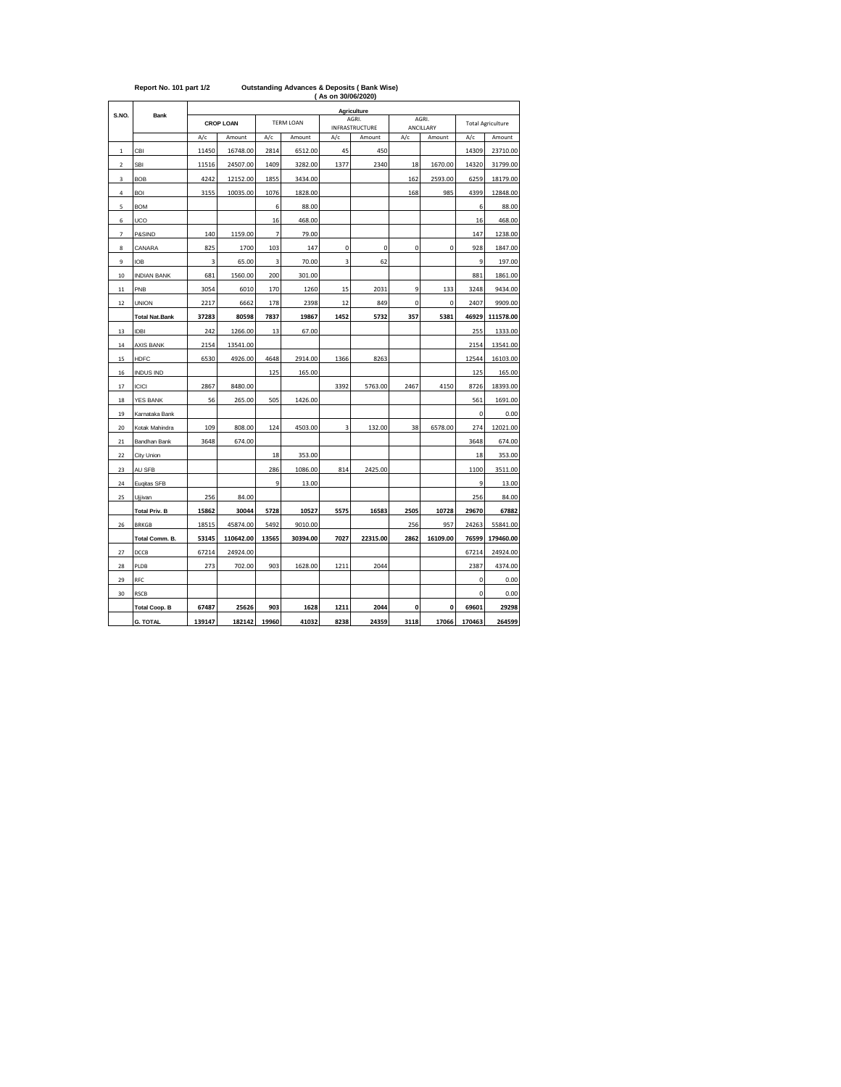|                         |                       |        | (As on 30/06/2020) |                |                  |      |                         |      |                    |             |                          |  |  |  |
|-------------------------|-----------------------|--------|--------------------|----------------|------------------|------|-------------------------|------|--------------------|-------------|--------------------------|--|--|--|
| S.NO.                   | <b>Bank</b>           |        |                    |                |                  |      | Agriculture             |      |                    |             |                          |  |  |  |
|                         |                       |        | <b>CROP LOAN</b>   |                | <b>TERM LOAN</b> |      | AGRI.<br>INFRASTRUCTURE |      | AGRI.<br>ANCILLARY |             | <b>Total Agriculture</b> |  |  |  |
|                         |                       | A/c    | Amount             | A/c            | Amount           | A/c  | Amount                  | A/c  | Amount             | A/c         | Amount                   |  |  |  |
| $\,$ 1                  | CBI                   | 11450  | 16748.00           | 2814           | 6512.00          | 45   | 450                     |      |                    | 14309       | 23710.00                 |  |  |  |
| $\overline{\mathbf{c}}$ | <b>SBI</b>            | 11516  | 24507.00           | 1409           | 3282.00          | 1377 | 2340                    | 18   | 1670.00            | 14320       | 31799.00                 |  |  |  |
| 3                       | <b>BOB</b>            | 4242   | 12152.00           | 1855           | 3434.00          |      |                         | 162  | 2593.00            | 6259        | 18179.00                 |  |  |  |
| 4                       | <b>BOI</b>            | 3155   | 10035.00           | 1076           | 1828.00          |      |                         | 168  | 985                | 4399        | 12848.00                 |  |  |  |
| 5                       | <b>BOM</b>            |        |                    | 6              | 88.00            |      |                         |      |                    | 6           | 88.00                    |  |  |  |
| 6                       | UCO                   |        |                    | 16             | 468.00           |      |                         |      |                    | 16          | 468.00                   |  |  |  |
| $\overline{7}$          | P&SIND                | 140    | 1159.00            | $\overline{7}$ | 79.00            |      |                         |      |                    | 147         | 1238.00                  |  |  |  |
| 8                       | CANARA                | 825    | 1700               | 103            | 147              | 0    | 0                       | 0    | $\pmb{0}$          | 928         | 1847.00                  |  |  |  |
| 9                       | <b>IOB</b>            | 3      | 65.00              | 3              | 70.00            | 3    | 62                      |      |                    | 9           | 197.00                   |  |  |  |
| 10                      | <b>INDIAN BANK</b>    | 681    | 1560.00            | 200            | 301.00           |      |                         |      |                    | 881         | 1861.00                  |  |  |  |
| $11\,$                  | PNB                   | 3054   | 6010               | 170            | 1260             | 15   | 2031                    | 9    | 133                | 3248        | 9434.00                  |  |  |  |
| 12                      | <b>UNION</b>          | 2217   | 6662               | 178            | 2398             | 12   | 849                     | 0    | 0                  | 2407        | 9909.00                  |  |  |  |
|                         | <b>Total Nat.Bank</b> | 37283  | 80598              | 7837           | 19867            | 1452 | 5732                    | 357  | 5381               | 46929       | 111578.00                |  |  |  |
| 13                      | <b>IDBI</b>           | 242    | 1266.00            | 13             | 67.00            |      |                         |      |                    | 255         | 1333.00                  |  |  |  |
| 14                      | <b>AXIS BANK</b>      | 2154   | 13541.00           |                |                  |      |                         |      |                    | 2154        | 13541.00                 |  |  |  |
| 15                      | <b>HDFC</b>           | 6530   | 4926.00            | 4648           | 2914.00          | 1366 | 8263                    |      |                    | 12544       | 16103.00                 |  |  |  |
| 16                      | <b>INDUS IND</b>      |        |                    | 125            | 165.00           |      |                         |      |                    | 125         | 165.00                   |  |  |  |
| 17                      | <b>ICICI</b>          | 2867   | 8480.00            |                |                  | 3392 | 5763.00                 | 2467 | 4150               | 8726        | 18393.00                 |  |  |  |
| 18                      | <b>YES BANK</b>       | 56     | 265.00             | 505            | 1426.00          |      |                         |      |                    | 561         | 1691.00                  |  |  |  |
| 19                      | Karnataka Bank        |        |                    |                |                  |      |                         |      |                    | 0           | 0.00                     |  |  |  |
| 20                      | Kotak Mahindra        | 109    | 808.00             | 124            | 4503.00          | 3    | 132.00                  | 38   | 6578.00            | 274         | 12021.00                 |  |  |  |
| 21                      | Bandhan Bank          | 3648   | 674.00             |                |                  |      |                         |      |                    | 3648        | 674.00                   |  |  |  |
| 22                      | City Union            |        |                    | 18             | 353.00           |      |                         |      |                    | 18          | 353.00                   |  |  |  |
| 23                      | AU SFB                |        |                    | 286            | 1086.00          | 814  | 2425.00                 |      |                    | 1100        | 3511.00                  |  |  |  |
| 24                      | Euqitas SFB           |        |                    | 9              | 13.00            |      |                         |      |                    | 9           | 13.00                    |  |  |  |
| 25                      | Ujjivan               | 256    | 84.00              |                |                  |      |                         |      |                    | 256         | 84.00                    |  |  |  |
|                         | <b>Total Priv. B</b>  | 15862  | 30044              | 5728           | 10527            | 5575 | 16583                   | 2505 | 10728              | 29670       | 67882                    |  |  |  |
| 26                      | <b>BRKGB</b>          | 18515  | 45874.00           | 5492           | 9010.00          |      |                         | 256  | 957                | 24263       | 55841.00                 |  |  |  |
|                         | Total Comm. B.        | 53145  | 110642.00          | 13565          | 30394.00         | 7027 | 22315.00                | 2862 | 16109.00           | 76599       | 179460.00                |  |  |  |
| 27                      | DCCB                  | 67214  | 24924.00           |                |                  |      |                         |      |                    | 67214       | 24924.00                 |  |  |  |
| 28                      | PLDB                  | 273    | 702.00             | 903            | 1628.00          | 1211 | 2044                    |      |                    | 2387        | 4374.00                  |  |  |  |
| 29                      | RFC                   |        |                    |                |                  |      |                         |      |                    | 0           | 0.00                     |  |  |  |
| 30                      | <b>RSCB</b>           |        |                    |                |                  |      |                         |      |                    | $\mathbf 0$ | 0.00                     |  |  |  |
|                         | <b>Total Coop. B</b>  | 67487  | 25626              | 903            | 1628             | 1211 | 2044                    | 0    | 0                  | 69601       | 29298                    |  |  |  |
|                         | <b>G. TOTAL</b>       | 139147 | 182142             | 19960          | 41032            | 8238 | 24359                   | 3118 | 17066              | 170463      | 264599                   |  |  |  |

## **Report No. 101 part 1/2 Outstanding Advances & Deposits ( Bank Wise)**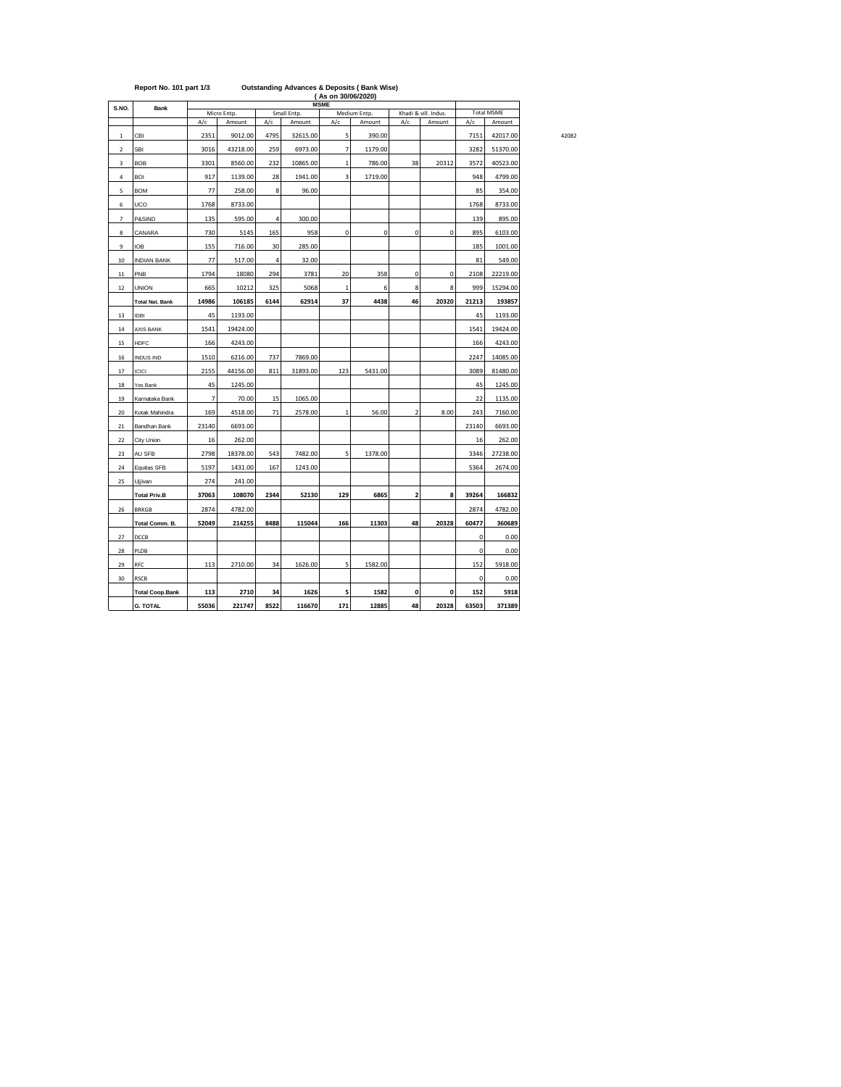|                | Report No. 101 part 1/3 |       |             |      |                       | (As on 30/06/2020)<br><b>MSME</b> | <b>Outstanding Advances &amp; Deposits (Bank Wise)</b> |                         |                                |             |          |  |
|----------------|-------------------------|-------|-------------|------|-----------------------|-----------------------------------|--------------------------------------------------------|-------------------------|--------------------------------|-------------|----------|--|
| S.NO.          | <b>Bank</b>             |       | Micro Entp. |      | <b>Total MSME</b>     |                                   |                                                        |                         |                                |             |          |  |
|                |                         | A/c   | Amount      | A/c  | Small Entp.<br>Amount | A/c                               | Medium Entp.<br>Amount                                 | A/c                     | Khadi & vill. Indus.<br>Amount | A/c         | Amount   |  |
| $\,$ 1 $\,$    | CBI                     | 2351  | 9012.00     | 4795 | 32615.00              | 5                                 | 390.00                                                 |                         |                                | 7151        | 42017.00 |  |
| $\mathbf 2$    | SBI                     | 3016  | 43218.00    | 259  | 6973.00               | $\overline{7}$                    | 1179.00                                                |                         |                                | 3282        | 51370.00 |  |
| 3              | <b>BOB</b>              | 3301  | 8560.00     | 232  | 10865.00              | $\mathbf{1}$                      | 786.00                                                 | 38                      | 20312                          | 3572        | 40523.00 |  |
| 4              | <b>BOI</b>              | 917   | 1139.00     | 28   | 1941.00               | 3                                 | 1719.00                                                |                         |                                | 948         | 4799.00  |  |
| 5              | <b>BOM</b>              | 77    | 258.00      | 8    | 96.00                 |                                   |                                                        |                         |                                | 85          | 354.00   |  |
| 6              | UCO                     | 1768  | 8733.00     |      |                       |                                   |                                                        |                         |                                | 1768        | 8733.00  |  |
| $\overline{7}$ | P&SIND                  | 135   | 595.00      | 4    | 300.00                |                                   |                                                        |                         |                                | 139         | 895.00   |  |
| 8              | CANARA                  | 730   | 5145        | 165  | 958                   | 0                                 | 0                                                      | 0                       | 0                              | 895         | 6103.00  |  |
| 9              | <b>IOB</b>              | 155   | 716.00      | 30   | 285.00                |                                   |                                                        |                         |                                | 185         | 1001.00  |  |
| $10\,$         | <b>INDIAN BANK</b>      | 77    | 517.00      | 4    | 32.00                 |                                   |                                                        |                         |                                | 81          | 549.00   |  |
| $11\,$         | PNB                     | 1794  | 18080       | 294  | 3781                  | 20                                | 358                                                    | 0                       | 0                              | 2108        | 22219.00 |  |
| 12             | <b>UNION</b>            | 665   | 10212       | 325  | 5068                  | $\mathbf{1}$                      | 6                                                      | 8                       | 8                              | 999         | 15294.00 |  |
|                | <b>Total Nat. Bank</b>  | 14986 | 106185      | 6144 | 62914                 | 37                                | 4438                                                   | 46                      | 20320                          | 21213       | 193857   |  |
| 13             | <b>IDBI</b>             | 45    | 1193.00     |      |                       |                                   |                                                        |                         |                                | 45          | 1193.00  |  |
| 14             | AXIS BANK               | 1541  | 19424.00    |      |                       |                                   |                                                        |                         |                                | 1541        | 19424.00 |  |
| 15             | <b>HDFC</b>             | 166   | 4243.00     |      |                       |                                   |                                                        |                         |                                | 166         | 4243.00  |  |
| 16             | INDUS IND               | 1510  | 6216.00     | 737  | 7869.00               |                                   |                                                        |                         |                                | 2247        | 14085.00 |  |
| 17             | <b>ICICI</b>            | 2155  | 44156.00    | 811  | 31893.00              | 123                               | 5431.00                                                |                         |                                | 3089        | 81480.00 |  |
| 18             | Yes Bank                | 45    | 1245.00     |      |                       |                                   |                                                        |                         |                                | 45          | 1245.00  |  |
| 19             | Karnataka Bank          | 7     | 70.00       | 15   | 1065.00               |                                   |                                                        |                         |                                | 22          | 1135.00  |  |
| 20             | Kotak Mahindra          | 169   | 4518.00     | 71   | 2578.00               | $\mathbf 1$                       | 56.00                                                  | $\mathbf 2$             | 8.00                           | 243         | 7160.00  |  |
| $21\,$         | Bandhan Bank            | 23140 | 6693.00     |      |                       |                                   |                                                        |                         |                                | 23140       | 6693.00  |  |
| 22             | City Union              | 16    | 262.00      |      |                       |                                   |                                                        |                         |                                | 16          | 262.00   |  |
| 23             | AU SFB                  | 2798  | 18378.00    | 543  | 7482.00               | 5                                 | 1378.00                                                |                         |                                | 3346        | 27238.00 |  |
| 24             | Equitas SFB             | 5197  | 1431.00     | 167  | 1243.00               |                                   |                                                        |                         |                                | 5364        | 2674.00  |  |
| 25             | Ujjivan                 | 274   | 241.00      |      |                       |                                   |                                                        |                         |                                |             |          |  |
|                | <b>Total Priv.B</b>     | 37063 | 108070      | 2344 | 52130                 | 129                               | 6865                                                   | $\overline{\mathbf{c}}$ | 8                              | 39264       | 166832   |  |
| 26             | <b>BRKGB</b>            | 2874  | 4782.00     |      |                       |                                   |                                                        |                         |                                | 2874        | 4782.00  |  |
|                | Total Comm. B.          | 52049 | 214255      | 8488 | 115044                | 166                               | 11303                                                  | 48                      | 20328                          | 60477       | 360689   |  |
| 27             | DCCB                    |       |             |      |                       |                                   |                                                        |                         |                                | 0           | 0.00     |  |
| 28             | PLDB                    |       |             |      |                       |                                   |                                                        |                         |                                | 0           | 0.00     |  |
| 29             | RFC                     | 113   | 2710.00     | 34   | 1626.00               | 5                                 | 1582.00                                                |                         |                                | 152         | 5918.00  |  |
| 30             | <b>RSCB</b>             |       |             |      |                       |                                   |                                                        |                         |                                | $\mathbf 0$ | 0.00     |  |
|                | <b>Total Coop.Bank</b>  | 113   | 2710        | 34   | 1626                  | 5                                 | 1582                                                   | 0                       | 0                              | 152         | 5918     |  |
|                | <b>G. TOTAL</b>         | 55036 | 221747      | 8522 | 116670                | 171                               | 12885                                                  | 48                      | 20328                          | 63503       | 371389   |  |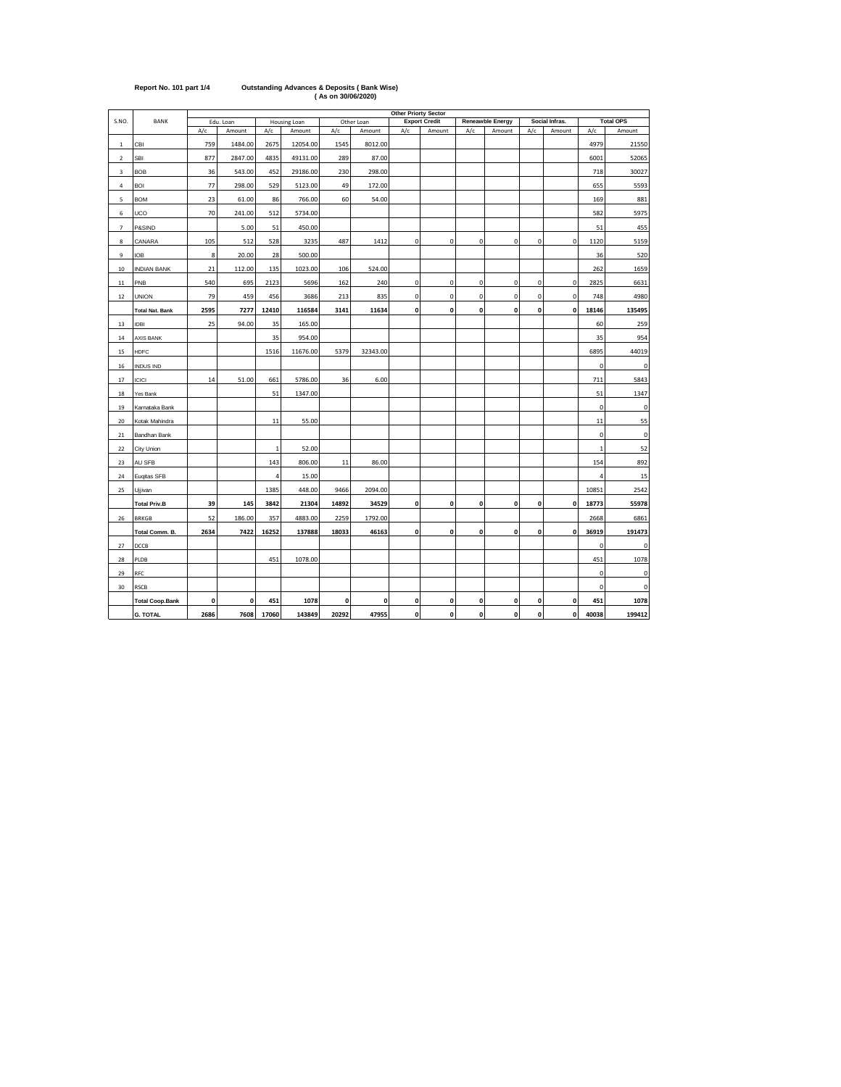|                |                        |      |           |                |              |       |              | <b>Other Priorty Sector</b> |                      |              |                  |              |                |             |                  |
|----------------|------------------------|------|-----------|----------------|--------------|-------|--------------|-----------------------------|----------------------|--------------|------------------|--------------|----------------|-------------|------------------|
| S.NO.          | BANK                   |      | Edu. Loan |                | Housing Loan |       | Other Loan   |                             | <b>Export Credit</b> |              | Reneawble Energy |              | Social Infras. |             | <b>Total OPS</b> |
|                |                        | A/c  | Amount    | A/c            | Amount       | A/c   | Amount       | A/c                         | Amount               | A/c          | Amount           | A/c          | Amount         | A/c         | Amount           |
| 1              | CBI                    | 759  | 1484.00   | 2675           | 12054.00     | 1545  | 8012.00      |                             |                      |              |                  |              |                | 4979        | 21550            |
| $\overline{2}$ | SBI                    | 877  | 2847.00   | 4835           | 49131.00     | 289   | 87.00        |                             |                      |              |                  |              |                | 6001        | 52065            |
| 3              | <b>BOB</b>             | 36   | 543.00    | 452            | 29186.00     | 230   | 298.00       |                             |                      |              |                  |              |                | 718         | 30027            |
| $\overline{4}$ | <b>BOI</b>             | 77   | 298.00    | 529            | 5123.00      | 49    | 172.00       |                             |                      |              |                  |              |                | 655         | 5593             |
| 5              | <b>BOM</b>             | 23   | 61.00     | 86             | 766.00       | 60    | 54.00        |                             |                      |              |                  |              |                | 169         | 881              |
| 6              | <b>UCO</b>             | 70   | 241.00    | 512            | 5734.00      |       |              |                             |                      |              |                  |              |                | 582         | 5975             |
| $\overline{7}$ | P&SIND                 |      | 5.00      | 51             | 450.00       |       |              |                             |                      |              |                  |              |                | 51          | 455              |
| 8              | CANARA                 | 105  | 512       | 528            | 3235         | 487   | 1412         | $\mathbf 0$                 | $\mathbf 0$          | $\pmb{0}$    | $\mathbf 0$      | $\mathbf 0$  | $\mathbf 0$    | 1120        | 5159             |
| 9              | <b>IOB</b>             | 8    | 20.00     | 28             | 500.00       |       |              |                             |                      |              |                  |              |                | 36          | 520              |
| 10             | <b>INDIAN BANK</b>     | 21   | 112.00    | 135            | 1023.00      | 106   | 524.00       |                             |                      |              |                  |              |                | 262         | 1659             |
| 11             | PNB                    | 540  | 695       | 2123           | 5696         | 162   | 240          | $\mathbf 0$                 | $\mathbf 0$          | $\mathbf 0$  | $\mathbf 0$      | $\mathbf 0$  | $\mathbf 0$    | 2825        | 6631             |
| 12             | <b>UNION</b>           | 79   | 459       | 456            | 3686         | 213   | 835          | $\mathbf 0$                 | $\mathbf 0$          | $\mathbf 0$  | $\mathbf 0$      | $\mathbf 0$  | $\pmb{0}$      | 748         | 4980             |
|                | <b>Total Nat. Bank</b> | 2595 | 7277      | 12410          | 116584       | 3141  | 11634        | $\mathbf{0}$                | $\mathbf 0$          | $\mathbf{0}$ | $\mathbf{0}$     | $\mathbf{0}$ | $\mathbf{0}$   | 18146       | 135495           |
| 13             | <b>IDBI</b>            | 25   | 94.00     | 35             | 165.00       |       |              |                             |                      |              |                  |              |                | 60          | 259              |
| 14             | AXIS BANK              |      |           | 35             | 954.00       |       |              |                             |                      |              |                  |              |                | 35          | 954              |
| 15             | <b>HDFC</b>            |      |           | 1516           | 11676.00     | 5379  | 32343.00     |                             |                      |              |                  |              |                | 6895        | 44019            |
| 16             | <b>INDUS IND</b>       |      |           |                |              |       |              |                             |                      |              |                  |              |                | 0           | 0                |
| 17             | ICICI                  | 14   | 51.00     | 661            | 5786.00      | 36    | 6.00         |                             |                      |              |                  |              |                | 711         | 5843             |
| 18             | Yes Bank               |      |           | 51             | 1347.00      |       |              |                             |                      |              |                  |              |                | 51          | 1347             |
| 19             | Karnataka Bank         |      |           |                |              |       |              |                             |                      |              |                  |              |                | 0           | $\mathbf 0$      |
| 20             | Kotak Mahindra         |      |           | 11             | 55.00        |       |              |                             |                      |              |                  |              |                | 11          | 55               |
| 21             | Bandhan Bank           |      |           |                |              |       |              |                             |                      |              |                  |              |                | 0           | 0                |
| 22             | City Union             |      |           | $\mathbf{1}$   | 52.00        |       |              |                             |                      |              |                  |              |                | $\mathbf 1$ | 52               |
| 23             | AU SFB                 |      |           | 143            | 806.00       | 11    | 86.00        |                             |                      |              |                  |              |                | 154         | 892              |
| 24             | Euqitas SFB            |      |           | $\overline{4}$ | 15.00        |       |              |                             |                      |              |                  |              |                | 4           | 15               |
| 25             | Ujjivan                |      |           | 1385           | 448.00       | 9466  | 2094.00      |                             |                      |              |                  |              |                | 10851       | 2542             |
|                | <b>Total Priv.B</b>    | 39   | 145       | 3842           | 21304        | 14892 | 34529        | 0                           | 0                    | $\mathbf{0}$ | $\pmb{0}$        | 0            | $\pmb{0}$      | 18773       | 55978            |
| 26             | <b>BRKGB</b>           | 52   | 186.00    | 357            | 4883.00      | 2259  | 1792.00      |                             |                      |              |                  |              |                | 2668        | 6861             |
|                | Total Comm. B.         | 2634 | 7422      | 16252          | 137888       | 18033 | 46163        | 0                           | 0                    | $\mathbf{0}$ | $\mathbf{0}$     | $\mathbf{0}$ | $\mathbf{0}$   | 36919       | 191473           |
| 27             | DCCB                   |      |           |                |              |       |              |                             |                      |              |                  |              |                | 0           | 0                |
| 28             | PLDB                   |      |           | 451            | 1078.00      |       |              |                             |                      |              |                  |              |                | 451         | 1078             |
| 29             | RFC                    |      |           |                |              |       |              |                             |                      |              |                  |              |                | 0           | 0                |
| 30             | <b>RSCB</b>            |      |           |                |              |       |              |                             |                      |              |                  |              |                | 0           | 0                |
|                | <b>Total Coop.Bank</b> | 0    | 0         | 451            | 1078         | 0     | $\mathbf{0}$ | 0                           | 0                    | 0            | $\pmb{0}$        | 0            | 0              | 451         | 1078             |
|                | <b>G. TOTAL</b>        | 2686 | 7608      | 17060          | 143849       | 20292 | 47955        | $\mathbf{o}$                | $\mathbf{0}$         | $\mathbf{0}$ | $\mathbf{0}$     | 0            | $\mathbf 0$    | 40038       | 199412           |

## **Report No. 101 part 1/4 Outstanding Advances & Deposits ( Bank Wise) ( As on 30/06/2020)**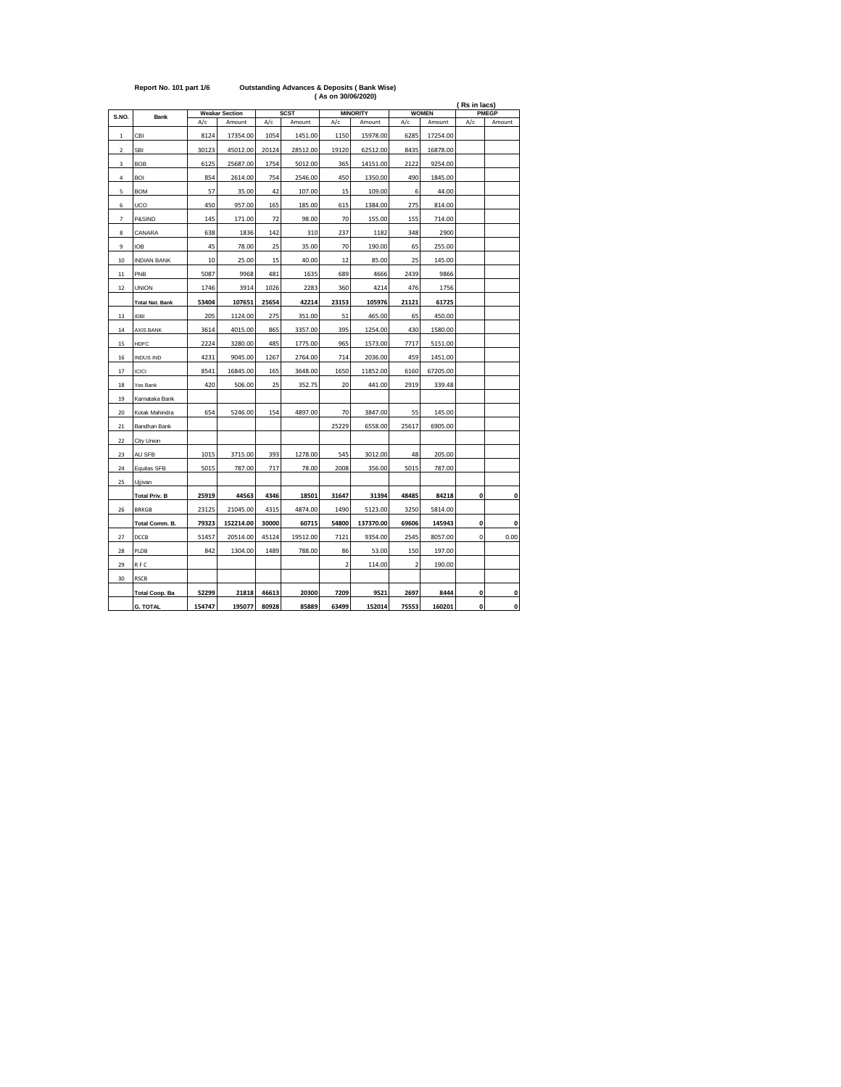|                |                        |        |                       |       |             | (As on 30/06/2020) |                 |                |              |              |              |
|----------------|------------------------|--------|-----------------------|-------|-------------|--------------------|-----------------|----------------|--------------|--------------|--------------|
| S.NO.          |                        |        | <b>Weakar Section</b> |       | <b>SCST</b> |                    | <b>MINORITY</b> |                | <b>WOMEN</b> | (Rs in lacs) | <b>PMEGP</b> |
|                | <b>Bank</b>            | A/c    | Amount                | A/c   | Amount      | A/c                | Amount          | A/c            | Amount       | A/c          | Amount       |
| $\mathbf{1}$   | CBI                    | 8124   | 17354.00              | 1054  | 1451.00     | 1150               | 15978.00        | 6285           | 17254.00     |              |              |
| $\overline{2}$ | <b>SBI</b>             | 30123  | 45012.00              | 20124 | 28512.00    | 19120              | 62512.00        | 8435           | 16878.00     |              |              |
| 3              | <b>BOB</b>             | 6125   | 25687.00              | 1754  | 5012.00     | 365                | 14151.00        | 2122           | 9254.00      |              |              |
| 4              | BOI                    | 854    | 2614.00               | 754   | 2546.00     | 450                | 1350.00         | 490            | 1845.00      |              |              |
| 5              | <b>BOM</b>             | 57     | 35.00                 | 42    | 107.00      | 15                 | 109.00          | 6              | 44.00        |              |              |
| 6              | UCO                    | 450    | 957.00                | 165   | 185.00      | 615                | 1384.00         | 275            | 814.00       |              |              |
| $\overline{7}$ | P&SIND                 | 145    | 171.00                | 72    | 98.00       | 70                 | 155.00          | 155            | 714.00       |              |              |
| 8              | CANARA                 | 638    | 1836                  | 142   | 310         | 237                | 1182            | 348            | 2900         |              |              |
| 9              | <b>IOB</b>             | 45     | 78.00                 | 25    | 35.00       | 70                 | 190.00          | 65             | 255.00       |              |              |
| 10             | <b>INDIAN BANK</b>     | 10     | 25.00                 | 15    | 40.00       | 12                 | 85.00           | 25             | 145.00       |              |              |
| 11             | PNB                    | 5087   | 9968                  | 481   | 1635        | 689                | 4666            | 2439           | 9866         |              |              |
| 12             | <b>UNION</b>           | 1746   | 3914                  | 1026  | 2283        | 360                | 4214            | 476            | 1756         |              |              |
|                | <b>Total Nat. Bank</b> | 53404  | 107651                | 25654 | 42214       | 23153              | 105976          | 21121          | 61725        |              |              |
| 13             | <b>IDBI</b>            | 205    | 1124.00               | 275   | 351.00      | 51                 | 465.00          | 65             | 450.00       |              |              |
| 14             | <b>AXIS BANK</b>       | 3614   | 4015.00               | 865   | 3357.00     | 395                | 1254.00         | 430            | 1580.00      |              |              |
| 15             | <b>HDFC</b>            | 2224   | 3280.00               | 485   | 1775.00     | 965                | 1573.00         | 7717           | 5151.00      |              |              |
| 16             | <b>INDUS IND</b>       | 4231   | 9045.00               | 1267  | 2764.00     | 714                | 2036.00         | 459            | 1451.00      |              |              |
| 17             | <b>ICICI</b>           | 8541   | 16845.00              | 165   | 3648.00     | 1650               | 11852.00        | 6160           | 67205.00     |              |              |
| 18             | Yes Bank               | 420    | 506.00                | 25    | 352.75      | 20                 | 441.00          | 2919           | 339.48       |              |              |
| 19             | Karnataka Bank         |        |                       |       |             |                    |                 |                |              |              |              |
| 20             | Kotak Mahindra         | 654    | 5246.00               | 154   | 4897.00     | 70                 | 3847.00         | 55             | 145.00       |              |              |
| 21             | Bandhan Bank           |        |                       |       |             | 25229              | 6558.00         | 25617          | 6905.00      |              |              |
| 22             | City Union             |        |                       |       |             |                    |                 |                |              |              |              |
| 23             | AU SFB                 | 1015   | 3715.00               | 393   | 1278.00     | 545                | 3012.00         | 48             | 205.00       |              |              |
| 24             | Equitas SFB            | 5015   | 787.00                | 717   | 78.00       | 2008               | 356.00          | 5015           | 787.00       |              |              |
| 25             | Ujjivan                |        |                       |       |             |                    |                 |                |              |              |              |
|                | <b>Total Priv. B</b>   | 25919  | 44563                 | 4346  | 18501       | 31647              | 31394           | 48485          | 84218        | 0            | 0            |
| 26             | <b>BRKGB</b>           | 23125  | 21045.00              | 4315  | 4874.00     | 1490               | 5123.00         | 3250           | 5814.00      |              |              |
|                | Total Comm. B.         | 79323  | 152214.00             | 30000 | 60715       | 54800              | 137370.00       | 69606          | 145943       | 0            | 0            |
| 27             | DCCB                   | 51457  | 20514.00              | 45124 | 19512.00    | 7121               | 9354.00         | 2545           | 8057.00      | 0            | 0.00         |
| 28             | PLDB                   | 842    | 1304.00               | 1489  | 788.00      | 86                 | 53.00           | 150            | 197.00       |              |              |
| 29             | RFC                    |        |                       |       |             | $\overline{2}$     | 114.00          | $\overline{2}$ | 190.00       |              |              |
| 30             | <b>RSCB</b>            |        |                       |       |             |                    |                 |                |              |              |              |
|                | <b>Total Coop. Ba</b>  | 52299  | 21818                 | 46613 | 20300       | 7209               | 9521            | 2697           | 8444         | 0            | 0            |
|                | <b>G. TOTAL</b>        | 154747 | 195077                | 80928 | 85889       | 63499              | 152014          | 75553          | 160201       | O            | $\mathbf{0}$ |

## **Report No. 101 part 1/6 Outstanding Advances & Deposits ( Bank Wise)**